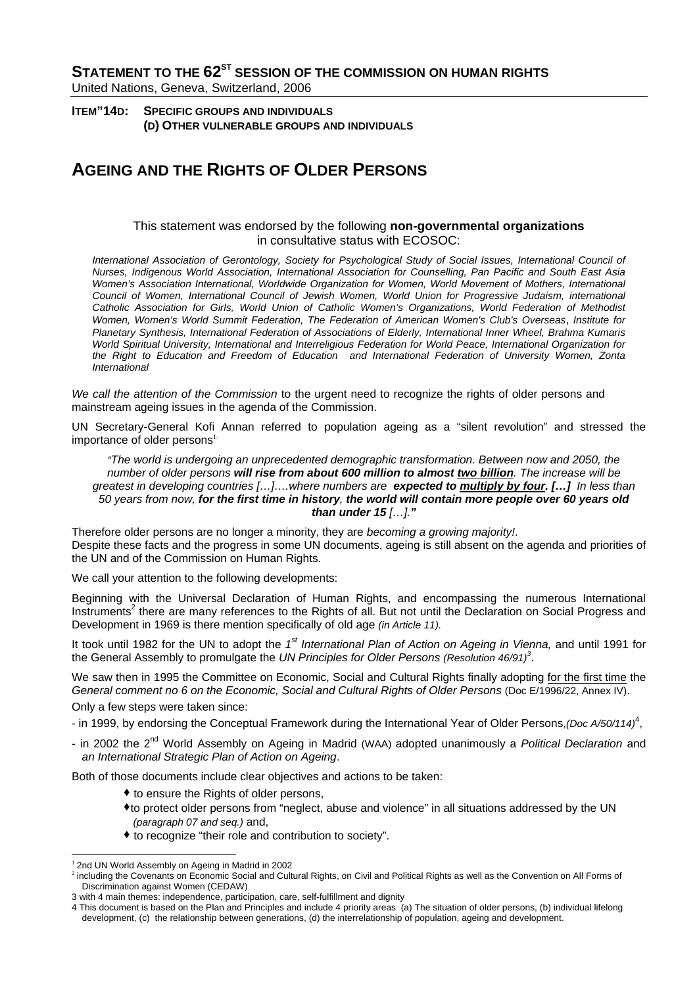**STATEMENT TO THE 62<sup>ST</sup> SESSION OF THE COMMISSION ON HUMAN RIGHTS** United Nations, Geneva, Switzerland, 2006

**ITEM"14D: SPECIFIC GROUPS AND INDIVIDUALS (D) OTHER VULNERABLE GROUPS AND INDIVIDUALS**

## **AGEING AND THE RIGHTS OF OLDER PERSONS**

## This statement was endorsed by the following **non-governmental organizations** in consultative status with ECOSOC:

*International Association of Gerontology, Society for Psychological Study of Social Issues, International Council of Nurses, Indigenous World Association, International Association for Counselling, Pan Pacific and South East Asia Women's Association International, Worldwide Organization for Women, World Movement of Mothers, International Council of Women, International Council of Jewish Women, World Union for Progressive Judaism, international Catholic Association for Girls, World Union of Catholic Women's Organizations, World Federation of Methodist Women, Women's World Summit Federation, The Federation of American Women's Club's Overseas*, *Institute for Planetary Synthesis, International Federation of Associations of Elderly, International Inner Wheel, Brahma Kumaris World Spiritual University, International and Interreligious Federation for World Peace, International Organization for the Right to Education and Freedom of Education and International Federation of University Women, Zonta International* 

*We call the attention of the Commission* to the urgent need to recognize the rights of older persons and mainstream ageing issues in the agenda of the Commission.

UN Secretary-General Kofi Annan referred to population ageing as a "silent revolution" and stressed the importance of older persons<sup>1:</sup>

*"The world is undergoing an unprecedented demographic transformation. Between now and 2050, the number of older persons will rise from about 600 million to almost two billion. The increase will be greatest in developing countries […]….where numbers are expected to multiply by four. […] In less than 50 years from now, for the first time in history, the world will contain more people over 60 years old than under 15 […]."*

Therefore older persons are no longer a minority, they are *becoming a growing majority!*. Despite these facts and the progress in some UN documents, ageing is still absent on the agenda and priorities of the UN and of the Commission on Human Rights.

We call your attention to the following developments:

Beginning with the Universal Declaration of Human Rights, and encompassing the numerous International Instruments<sup>2</sup> there are many references to the Rights of all. But not until the Declaration on Social Progress and Development in 1969 is there mention specifically of old age *(in Article 11).*

It took until 1982 for the UN to adopt the *1st International Plan of Action on Ageing in Vienna,* and until 1991 for the General Assembly to promulgate the *UN Principles for Older Persons (Resolution 46/91)<sup>3</sup>* .

We saw then in 1995 the Committee on Economic, Social and Cultural Rights finally adopting for the first time the *General comment no 6 on the Economic, Social and Cultural Rights of Older Persons (Doc E/1996/22, Annex IV).* 

Only a few steps were taken since:

- in 1999, by endorsing the Conceptual Framework during the International Year of Older Persons, (Doc A/50/114)<sup>4</sup>,

- in 2002 the 2nd World Assembly on Ageing in Madrid (WAA) adopted unanimously a *Political Declaration* and *an International Strategic Plan of Action on Ageing*.

Both of those documents include clear objectives and actions to be taken:

- $\bullet$  to ensure the Rights of older persons,
- to protect older persons from "neglect, abuse and violence" in all situations addressed by the UN *(paragraph 07 and seq.)* and,
- to recognize "their role and contribution to society".

 <sup>1</sup> 2nd UN World Assembly on Ageing in Madrid in 2002

<sup>&</sup>lt;sup>2</sup> including the Covenants on Economic Social and Cultural Rights, on Civil and Political Rights as well as the Convention on All Forms of Discrimination against Women (CEDAW)

<sup>3</sup> with 4 main themes: independence, participation, care, self-fulfillment and dignity

<sup>4</sup> This document is based on the Plan and Principles and include 4 priority areas (a) The situation of older persons, (b) individual lifelong development, (c) the relationship between generations, (d) the interrelationship of population, ageing and development.